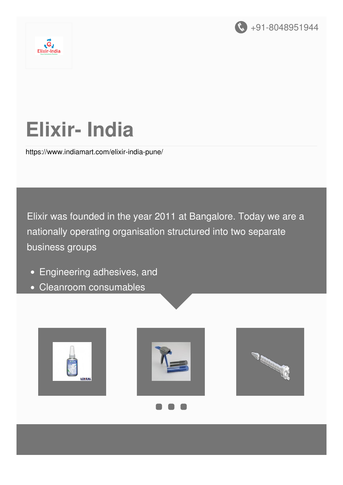



# **Elixir- India**

<https://www.indiamart.com/elixir-india-pune/>

Elixir was founded in the year 2011 at Bangalore. Today we are a nationally operating organisation structured into two separate business groups

- Engineering adhesives, and
- Cleanroom consumables





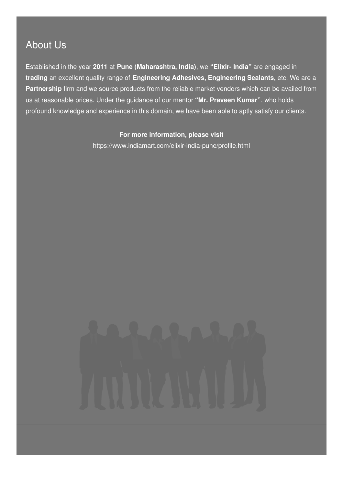### About Us

Established in the year **2011** at **Pune (Maharashtra, India)**, we **"Elixir- India"** are engaged in **trading** an excellent quality range of **Engineering Adhesives, Engineering Sealants,** etc. We are a **Partnership** firm and we source products from the reliable market vendors which can be availed from us at reasonable prices. Under the guidance of our mentor **"Mr. Praveen Kumar"**, who holds profound knowledge and experience in this domain, we have been able to aptly satisfy our clients.

#### **For more information, please visit**

<https://www.indiamart.com/elixir-india-pune/profile.html>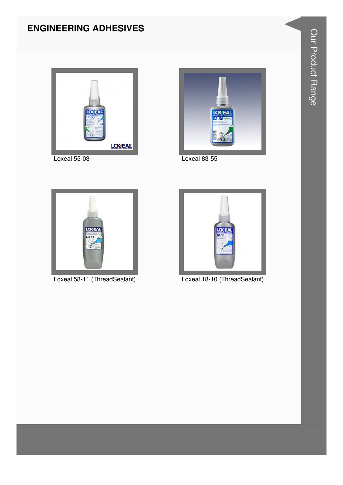#### **ENGINEERING ADHESIVES**



Loxeal 55-03



Loxeal 83-55



Loxeal 58-11 (ThreadSealant)



Loxeal 18-10 (ThreadSealant)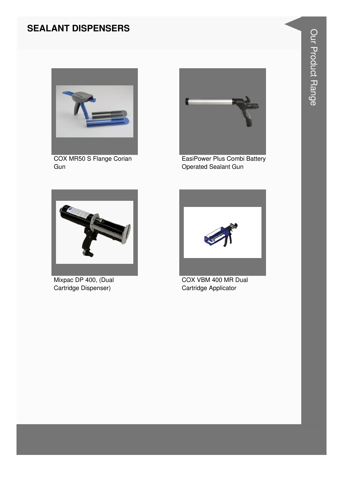#### **SEALANT DISPENSERS**



**COX MR50 S Flange Corian** Gun



EasiPower Plus Combi Battery **Operated Sealant Gun** 



Mixpac DP 400, (Dual Cartridge Dispenser)



COX VBM 400 MR Dual Cartridge Applicator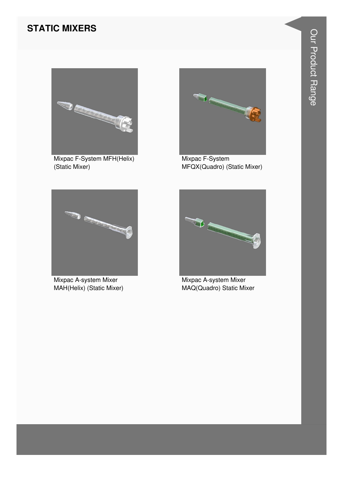#### **STATIC MIXERS**



Mixpac F-System MFH(Helix) (Static Mixer)



Mixpac F-System MFQX(Quadro) (Static Mixer)



Mixpac A-system Mixer MAH(Helix) (Static Mixer)



Mixpac A-system Mixer MAQ(Quadro) Static Mixer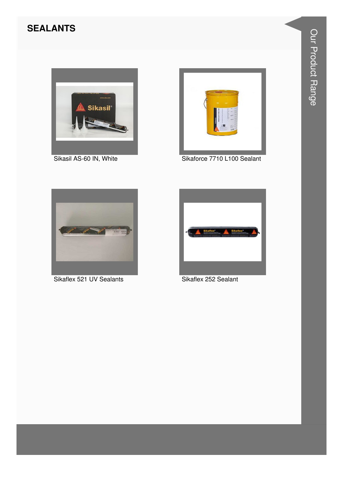#### **SEALANTS**



Sikasil AS-60 IN, White



Sikaforce 7710 L100 Sealant



Sikaflex 521 UV Sealants



Sikaflex 252 Sealant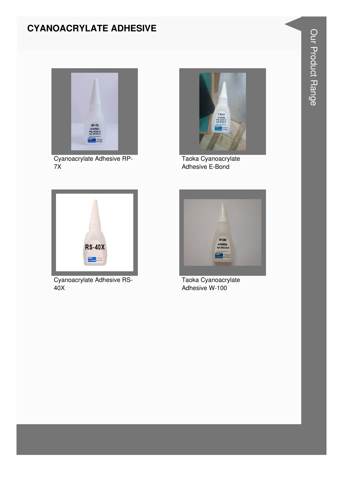#### **CYANOACRYLATE ADHESIVE**



Cyanoacrylate Adhesive RP- $7X$ 



Taoka Cyanoacrylate Adhesive E-Bond



Cyanoacrylate Adhesive RS- $40X$ 



Taoka Cyanoacrylate Adhesive W-100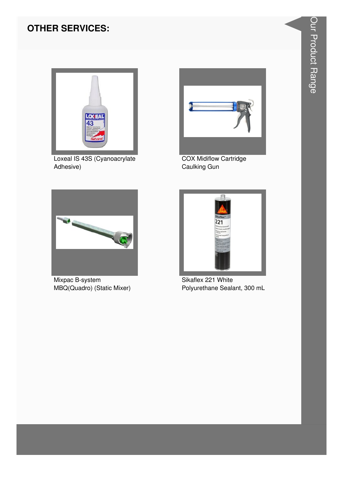#### **OTHER SERVICES:**



Loxeal IS 43S (Cyanoacrylate Adhesive)



**COX Midiflow Cartridge** Caulking Gun



Mixpac B-system MBQ(Quadro) (Static Mixer)



Sikaflex 221 White Polyurethane Sealant, 300 mL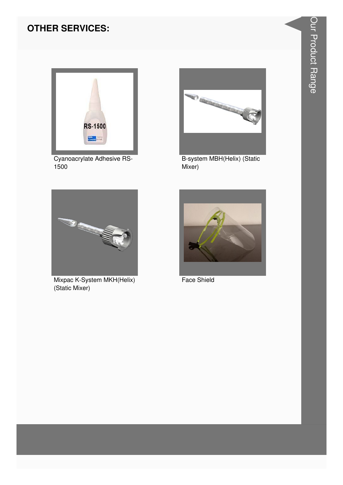#### **OTHER SERVICES:**



Cyanoacrylate Adhesive RS-1500



B-system MBH(Helix) (Static Mixer)



Mixpac K-System MKH(Helix) (Static Mixer)



Face Shield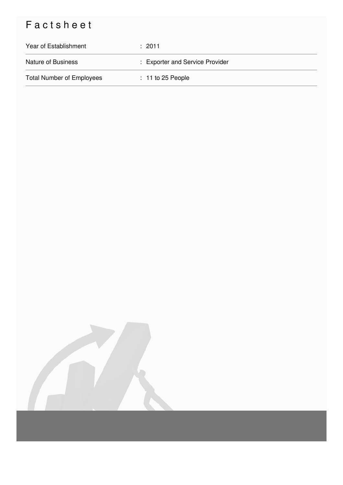## Factsheet

| Year of Establishment            | : 2011                          |
|----------------------------------|---------------------------------|
| <b>Nature of Business</b>        | : Exporter and Service Provider |
| <b>Total Number of Employees</b> | $: 11$ to 25 People             |